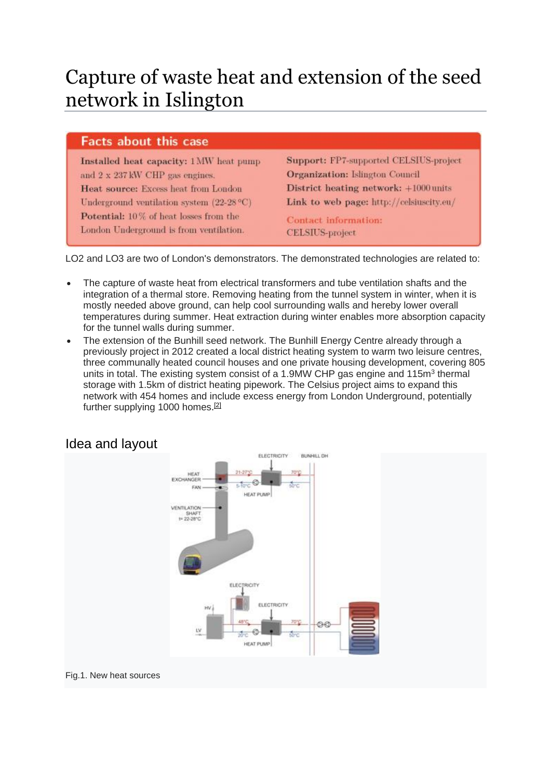# Capture of waste heat and extension of the seed network in Islington

#### **Facts about this case**

Installed heat capacity: 1 MW heat pump and 2 x 237 kW CHP gas engines. Heat source: Excess heat from London Underground ventilation system  $(22-28 °C)$ Potential: 10% of heat losses from the London Underground is from ventilation.

Support: FP7-supported CELSIUS-project **Organization: Islington Council** District heating network: +1000 units Link to web page: http://celsiuscity.eu/

Contact information: **CELSIUS-project** 

LO2 and LO3 are two of London's demonstrators. The demonstrated technologies are related to:

- The capture of waste heat from electrical transformers and tube ventilation shafts and the integration of a thermal store. Removing heating from the tunnel system in winter, when it is mostly needed above ground, can help cool surrounding walls and hereby lower overall temperatures during summer. Heat extraction during winter enables more absorption capacity for the tunnel walls during summer.
- The extension of the Bunhill seed network. The Bunhill Energy Centre already through a previously project in 2012 created a local district heating system to warm two leisure centres, three communally heated council houses and one private housing development, covering 805 units in total. The existing system consist of a 1.9MW CHP gas engine and 115m<sup>3</sup> thermal storage with 1.5km of district heating pipework. The Celsius project aims to expand this network with 454 homes and include excess energy from London Underground, potentially further supplying 1000 homes.<sup>[\[2\]](https://toolbox.celsiuscity.eu/index.php/Capture_of_waste_heat_and_extension_of_the_seed_network_in_Islington#cite_note-Handbook-2)</sup>

## Idea and layout



#### Fig.1. New heat sources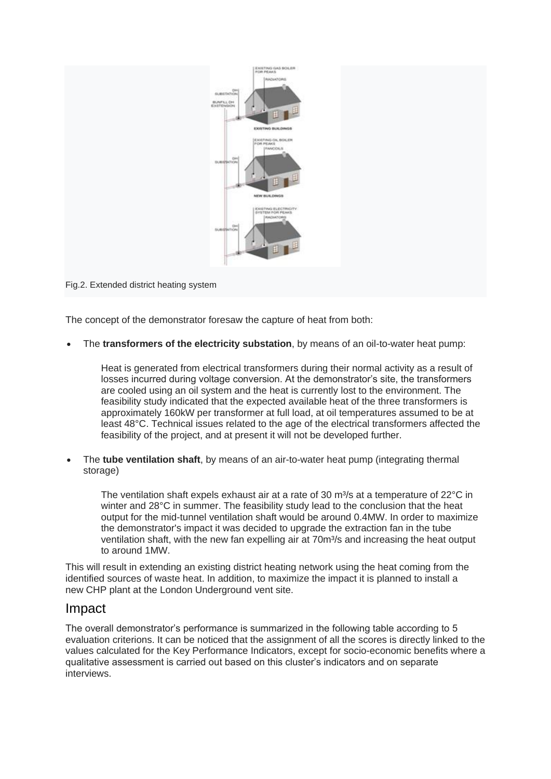

Fig.2. Extended district heating system

The concept of the demonstrator foresaw the capture of heat from both:

• The **transformers of the electricity substation**, by means of an oil-to-water heat pump:

Heat is generated from electrical transformers during their normal activity as a result of losses incurred during voltage conversion. At the demonstrator's site, the transformers are cooled using an oil system and the heat is currently lost to the environment. The feasibility study indicated that the expected available heat of the three transformers is approximately 160kW per transformer at full load, at oil temperatures assumed to be at least 48°C. Technical issues related to the age of the electrical transformers affected the feasibility of the project, and at present it will not be developed further.

• The **tube ventilation shaft**, by means of an air-to-water heat pump (integrating thermal storage)

The ventilation shaft expels exhaust air at a rate of 30 m<sup>3</sup>/s at a temperature of  $22^{\circ}$ C in winter and 28°C in summer. The feasibility study lead to the conclusion that the heat output for the mid-tunnel ventilation shaft would be around 0.4MW. In order to maximize the demonstrator's impact it was decided to upgrade the extraction fan in the tube ventilation shaft, with the new fan expelling air at 70m<sup>3</sup>/s and increasing the heat output to around 1MW.

This will result in extending an existing district heating network using the heat coming from the identified sources of waste heat. In addition, to maximize the impact it is planned to install a new CHP plant at the London Underground vent site.

#### Impact

The overall demonstrator's performance is summarized in the following table according to 5 evaluation criterions. It can be noticed that the assignment of all the scores is directly linked to the values calculated for the Key Performance Indicators, except for socio-economic benefits where a qualitative assessment is carried out based on this cluster's indicators and on separate interviews.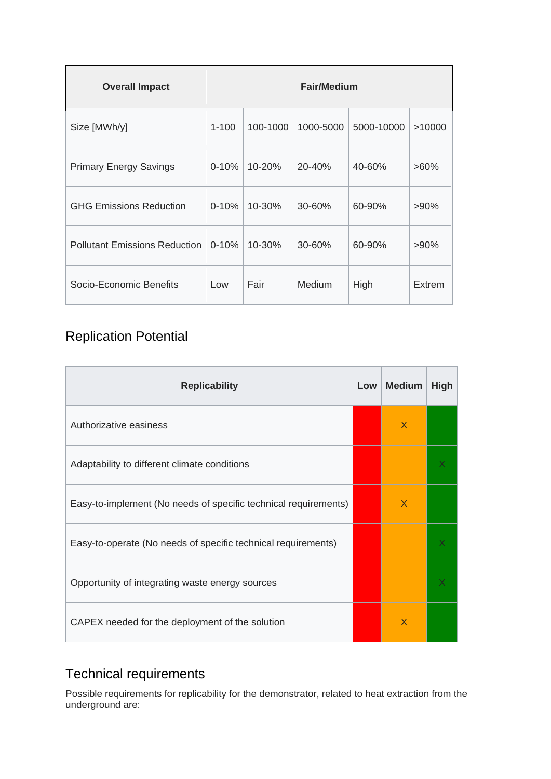| <b>Overall Impact</b>                | <b>Fair/Medium</b> |            |            |            |         |
|--------------------------------------|--------------------|------------|------------|------------|---------|
| Size [MWh/y]                         | $1 - 100$          | 100-1000   | 1000-5000  | 5000-10000 | >10000  |
| <b>Primary Energy Savings</b>        | $0 - 10%$          | $10 - 20%$ | 20-40%     | $40 - 60%$ | $>60\%$ |
| <b>GHG Emissions Reduction</b>       | $0 - 10%$          | $10 - 30%$ | $30 - 60%$ | $60 - 90%$ | $>90\%$ |
| <b>Pollutant Emissions Reduction</b> | $0 - 10%$          | $10 - 30%$ | 30-60%     | $60 - 90%$ | $>90\%$ |
| Socio-Economic Benefits              | Low                | Fair       | Medium     | High       | Extrem  |

# Replication Potential

| <b>Replicability</b>                                            |  | <b>Medium</b> | <b>High</b> |
|-----------------------------------------------------------------|--|---------------|-------------|
| Authorizative easiness                                          |  | X             |             |
| Adaptability to different climate conditions                    |  |               |             |
| Easy-to-implement (No needs of specific technical requirements) |  | $\sf X$       |             |
| Easy-to-operate (No needs of specific technical requirements)   |  |               |             |
| Opportunity of integrating waste energy sources                 |  |               |             |
| CAPEX needed for the deployment of the solution                 |  | X             |             |

# Technical requirements

Possible requirements for replicability for the demonstrator, related to heat extraction from the underground are: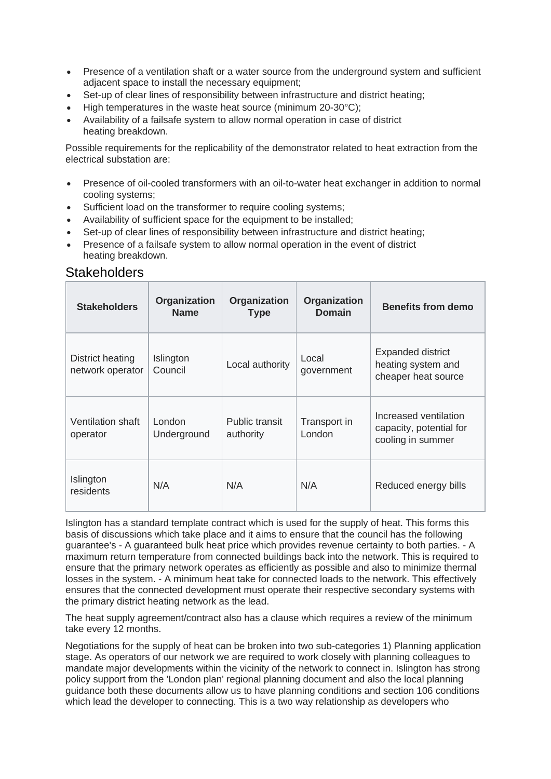- Presence of a ventilation shaft or a water source from the underground system and sufficient adjacent space to install the necessary equipment;
- Set-up of clear lines of responsibility between infrastructure and district heating;
- High temperatures in the waste heat source (minimum 20-30°C);
- Availability of a failsafe system to allow normal operation in case of district heating breakdown.

Possible requirements for the replicability of the demonstrator related to heat extraction from the electrical substation are:

- Presence of oil-cooled transformers with an oil-to-water heat exchanger in addition to normal cooling systems;
- Sufficient load on the transformer to require cooling systems;
- Availability of sufficient space for the equipment to be installed;
- Set-up of clear lines of responsibility between infrastructure and district heating:
- Presence of a failsafe system to allow normal operation in the event of district heating breakdown.

## **Stakeholders**

| <b>Stakeholders</b>                  | Organization<br><b>Name</b> | Organization<br><b>Type</b> | Organization<br><b>Domain</b> | <b>Benefits from demo</b>                                             |
|--------------------------------------|-----------------------------|-----------------------------|-------------------------------|-----------------------------------------------------------------------|
| District heating<br>network operator | Islington<br>Council        | Local authority             | Local<br>government           | Expanded district<br>heating system and<br>cheaper heat source        |
| Ventilation shaft<br>operator        | London<br>Underground       | Public transit<br>authority | Transport in<br>London        | Increased ventilation<br>capacity, potential for<br>cooling in summer |
| Islington<br>residents               | N/A                         | N/A                         | N/A                           | Reduced energy bills                                                  |

Islington has a standard template contract which is used for the supply of heat. This forms this basis of discussions which take place and it aims to ensure that the council has the following guarantee's - A guaranteed bulk heat price which provides revenue certainty to both parties. - A maximum return temperature from connected buildings back into the network. This is required to ensure that the primary network operates as efficiently as possible and also to minimize thermal losses in the system. - A minimum heat take for connected loads to the network. This effectively ensures that the connected development must operate their respective secondary systems with the primary district heating network as the lead.

The heat supply agreement/contract also has a clause which requires a review of the minimum take every 12 months.

Negotiations for the supply of heat can be broken into two sub-categories 1) Planning application stage. As operators of our network we are required to work closely with planning colleagues to mandate major developments within the vicinity of the network to connect in. Islington has strong policy support from the 'London plan' regional planning document and also the local planning guidance both these documents allow us to have planning conditions and section 106 conditions which lead the developer to connecting. This is a two way relationship as developers who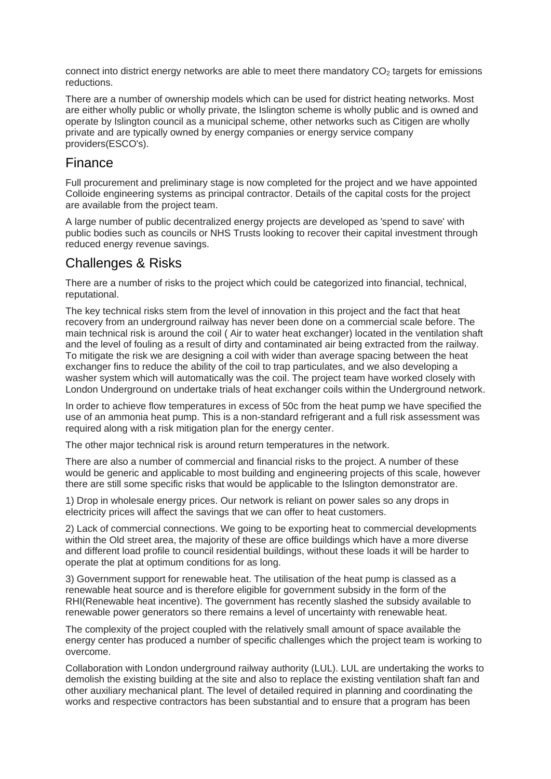connect into district energy networks are able to meet there mandatory  $CO<sub>2</sub>$  targets for emissions reductions.

There are a number of ownership models which can be used for district heating networks. Most are either wholly public or wholly private, the Islington scheme is wholly public and is owned and operate by Islington council as a municipal scheme, other networks such as Citigen are wholly private and are typically owned by energy companies or energy service company providers(ESCO's).

## Finance

Full procurement and preliminary stage is now completed for the project and we have appointed Colloide engineering systems as principal contractor. Details of the capital costs for the project are available from the project team.

A large number of public decentralized energy projects are developed as 'spend to save' with public bodies such as councils or NHS Trusts looking to recover their capital investment through reduced energy revenue savings.

## Challenges & Risks

There are a number of risks to the project which could be categorized into financial, technical, reputational.

The key technical risks stem from the level of innovation in this project and the fact that heat recovery from an underground railway has never been done on a commercial scale before. The main technical risk is around the coil ( Air to water heat exchanger) located in the ventilation shaft and the level of fouling as a result of dirty and contaminated air being extracted from the railway. To mitigate the risk we are designing a coil with wider than average spacing between the heat exchanger fins to reduce the ability of the coil to trap particulates, and we also developing a washer system which will automatically was the coil. The project team have worked closely with London Underground on undertake trials of heat exchanger coils within the Underground network.

In order to achieve flow temperatures in excess of 50c from the heat pump we have specified the use of an ammonia heat pump. This is a non-standard refrigerant and a full risk assessment was required along with a risk mitigation plan for the energy center.

The other major technical risk is around return temperatures in the network.

There are also a number of commercial and financial risks to the project. A number of these would be generic and applicable to most building and engineering projects of this scale, however there are still some specific risks that would be applicable to the Islington demonstrator are.

1) Drop in wholesale energy prices. Our network is reliant on power sales so any drops in electricity prices will affect the savings that we can offer to heat customers.

2) Lack of commercial connections. We going to be exporting heat to commercial developments within the Old street area, the majority of these are office buildings which have a more diverse and different load profile to council residential buildings, without these loads it will be harder to operate the plat at optimum conditions for as long.

3) Government support for renewable heat. The utilisation of the heat pump is classed as a renewable heat source and is therefore eligible for government subsidy in the form of the RHI(Renewable heat incentive). The government has recently slashed the subsidy available to renewable power generators so there remains a level of uncertainty with renewable heat.

The complexity of the project coupled with the relatively small amount of space available the energy center has produced a number of specific challenges which the project team is working to overcome.

Collaboration with London underground railway authority (LUL). LUL are undertaking the works to demolish the existing building at the site and also to replace the existing ventilation shaft fan and other auxiliary mechanical plant. The level of detailed required in planning and coordinating the works and respective contractors has been substantial and to ensure that a program has been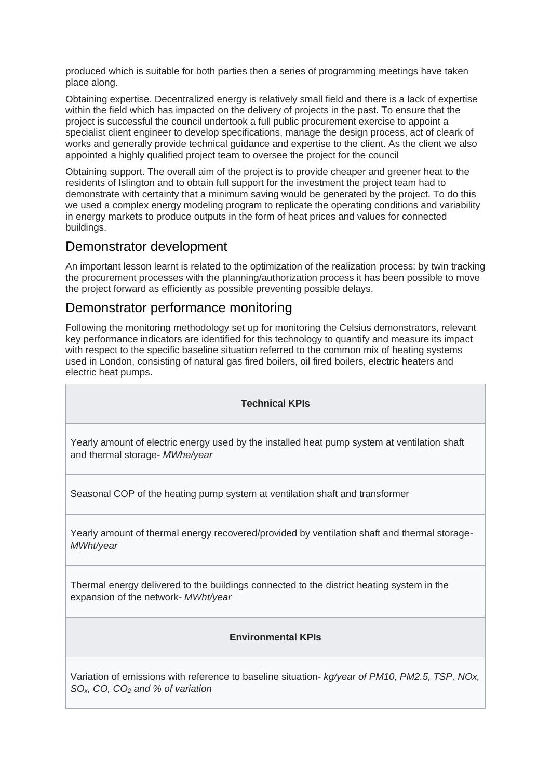produced which is suitable for both parties then a series of programming meetings have taken place along.

Obtaining expertise. Decentralized energy is relatively small field and there is a lack of expertise within the field which has impacted on the delivery of projects in the past. To ensure that the project is successful the council undertook a full public procurement exercise to appoint a specialist client engineer to develop specifications, manage the design process, act of cleark of works and generally provide technical guidance and expertise to the client. As the client we also appointed a highly qualified project team to oversee the project for the council

Obtaining support. The overall aim of the project is to provide cheaper and greener heat to the residents of Islington and to obtain full support for the investment the project team had to demonstrate with certainty that a minimum saving would be generated by the project. To do this we used a complex energy modeling program to replicate the operating conditions and variability in energy markets to produce outputs in the form of heat prices and values for connected buildings.

## Demonstrator development

An important lesson learnt is related to the optimization of the realization process: by twin tracking the procurement processes with the planning/authorization process it has been possible to move the project forward as efficiently as possible preventing possible delays.

## Demonstrator performance monitoring

Following the monitoring methodology set up for monitoring the Celsius demonstrators, relevant key performance indicators are identified for this technology to quantify and measure its impact with respect to the specific baseline situation referred to the common mix of heating systems used in London, consisting of natural gas fired boilers, oil fired boilers, electric heaters and electric heat pumps.

#### **Technical KPIs**

Yearly amount of electric energy used by the installed heat pump system at ventilation shaft and thermal storage*- MWhe/year*

Seasonal COP of the heating pump system at ventilation shaft and transformer

Yearly amount of thermal energy recovered/provided by ventilation shaft and thermal storage*-MWht/year*

Thermal energy delivered to the buildings connected to the district heating system in the expansion of the network*- MWht/year*

#### **Environmental KPIs**

Variation of emissions with reference to baseline situation- *kg/year of PM10, PM2.5, TSP, NOx, SOx, CO, CO<sup>2</sup> and % of variation*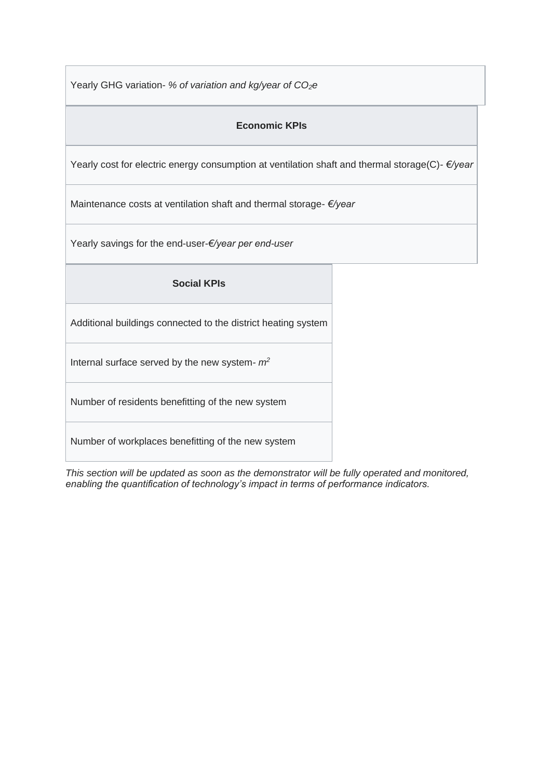Yearly GHG variation- *% of variation and kg/year of CO2e*

#### **Economic KPIs**

Yearly cost for electric energy consumption at ventilation shaft and thermal storage(C)*- €/year*

Maintenance costs at ventilation shaft and thermal storage*- €/year*

Yearly savings for the end-user-*€/year per end-user*

#### **Social KPIs**

Additional buildings connected to the district heating system

Internal surface served by the new system*- m<sup>2</sup>*

Number of residents benefitting of the new system

Number of workplaces benefitting of the new system

*This section will be updated as soon as the demonstrator will be fully operated and monitored, enabling the quantification of technology's impact in terms of performance indicators.*